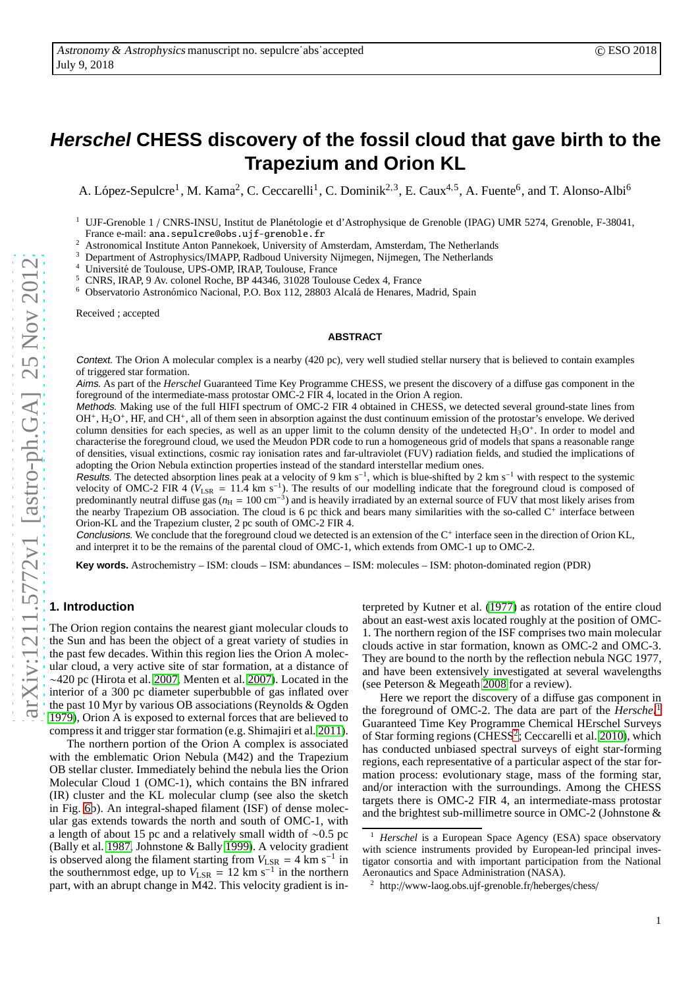# **Herschel CHESS discovery of the fossil cloud that gave birth to the Trapezium and Orion KL**

A. López-Sepulcre<sup>1</sup>, M. Kama<sup>2</sup>, C. Ceccarelli<sup>1</sup>, C. Dominik<sup>2,3</sup>, E. Caux<sup>4,5</sup>, A. Fuente<sup>6</sup>, and T. Alonso-Albi<sup>6</sup>

<sup>1</sup> UJF-Grenoble 1 / CNRS-INSU, Institut de Planétologie et d'Astrophysique de Grenoble (IPAG) UMR 5274, Grenoble, F-38041, France e-mail: ana.sepulcre@obs.ujf-grenoble.fr

<sup>2</sup> Astronomical Institute Anton Pannekoek, University of Amsterdam, Amsterdam, The Netherlands

<sup>3</sup> Department of Astrophysics/IMAPP, Radboud University Nijmegen, Nijmegen, The Netherlands

<sup>4</sup> Université de Toulouse, UPS-OMP, IRAP, Toulouse, France  $\frac{5}{2}$ , GNBS, IRAP, 0.4 $\frac{1}{2}$ , Parlament, P.D. 44246, 21029, Trube

<sup>5</sup> CNRS, IRAP, 9 Av. colonel Roche, BP 44346, 31028 Toulouse Cedex 4, France  $\frac{6}{12}$  Observatorio Astronómico Nacional PO Box 112, 28803 Alcalá de Henares M

6 Observatorio Astronómico Nacional, P.O. Box 112, 28803 Alcalá de Henares, Madrid, Spain

Received ; accepted

#### **ABSTRACT**

Context. The Orion A molecular complex is a nearby (420 pc), very well studied stellar nursery that is believed to contain examples of triggered star formation.

Aims. As part of the *Herschel* Guaranteed Time Key Programme CHESS, we present the discovery of a diffuse gas component in the foreground of the intermediate-mass protostar OMC-2 FIR 4, located in the Orion A region.

Methods. Making use of the full HIFI spectrum of OMC-2 FIR 4 obtained in CHESS, we detected several ground-state lines from OH<sup>+</sup>, H<sub>2</sub>O<sup>+</sup>, HF, and CH<sup>+</sup>, all of them seen in absorption against the dust continuum emission of the protostar's envelope. We derived column densities for each species, as well as an upper limit to the column density of the undetected  $H_3O^+$ . In order to model and characterise the foreground cloud, we used the Meudon PDR code to run a homogeneous grid of models that spans a reasonable range of densities, visual extinctions, cosmic ray ionisation rates and far-ultraviolet (FUV) radiation fields, and studied the implications of adopting the Orion Nebula extinction properties instead of the standard interstellar medium ones.

Results. The detected absorption lines peak at a velocity of 9 km s<sup>-1</sup>, which is blue-shifted by 2 km s<sup>-1</sup> with respect to the systemic velocity of OMC-2 FIR 4 ( $V_{LSR}$  = 11.4 km s<sup>-1</sup>). The results of our modelling indicate that the foreground cloud is composed of predominantly neutral diffuse gas ( $n_H = 100 \text{ cm}^{-3}$ ) and is heavily irradiated by an external source of FUV that most likely arises from the nearby Trapezium OB association. The cloud is 6 pc thick and bears many similarities with the so-called C<sup>+</sup> interface between Orion-KL and the Trapezium cluster, 2 pc south of OMC-2 FIR 4.

Conclusions. We conclude that the foreground cloud we detected is an extension of the  $C^+$  interface seen in the direction of Orion KL, and interpret it to be the remains of the parental cloud of OMC-1, which extends from OMC-1 up to OMC-2.

**Key words.** Astrochemistry – ISM: clouds – ISM: abundances – ISM: molecules – ISM: photon-dominated region (PDR)

#### <span id="page-0-2"></span>**1. Introduction**

The Orion region contains the nearest giant molecular clouds to the Sun and has been the object of a great variety of studies in the past few decades. Within this region lies the Orion A molecular cloud, a very active site of star formation, at a distance of ∼420 pc (Hirota et al. [2007,](#page-8-0) Menten et al. [2007\)](#page-8-1). Located in the interior of a 300 pc diameter superbubble of gas inflated over the past 10 Myr by various OB associations (Reynolds & Ogden [1979\)](#page-9-0), Orion A is exposed to external forces that are believed to compress it and trigger star formation (e.g. Shimajiri et al. [2011\)](#page-9-1).

The northern portion of the Orion A complex is associated with the emblematic Orion Nebula (M42) and the Trapezium OB stellar cluster. Immediately behind the nebula lies the Orion Molecular Cloud 1 (OMC-1), which contains the BN infrared (IR) cluster and the KL molecular clump (see also the sketch in Fig. [6b](#page-7-0)). An integral-shaped filament (ISF) of dense molecular gas extends towards the north and south of OMC-1, with a length of about 15 pc and a relatively small width of ∼0.5 pc (Bally et al. [1987,](#page-8-2) Johnstone & Bally [1999\)](#page-8-3). A velocity gradient is observed along the filament starting from  $V_{LSR} = 4 \text{ km s}^{-1}$  in the southernmost edge, up to  $V_{LSR} = 12 \text{ km s}^{-1}$  in the northern part, with an abrupt change in M42. This velocity gradient is interpreted by Kutner et al. [\(1977\)](#page-8-4) as rotation of the entire cloud about an east-west axis located roughly at the position of OMC-1. The northern region of the ISF comprises two main molecular clouds active in star formation, known as OMC-2 and OMC-3. They are bound to the north by the reflection nebula NGC 1977, and have been extensively investigated at several wavelengths (see Peterson & Megeath [2008](#page-9-2) for a review).

Here we report the discovery of a diffuse gas component in the foreground of OMC-2. The data are part of the *Herschel*[1](#page-0-0) Guaranteed Time Key Programme Chemical HErschel Surveys of Star forming regions (CHESS<sup>[2](#page-0-1)</sup>; Ceccarelli et al. [2010\)](#page-8-5), which has conducted unbiased spectral surveys of eight star-forming regions, each representative of a particular aspect of the star formation process: evolutionary stage, mass of the forming star, and/or interaction with the surroundings. Among the CHESS targets there is OMC-2 FIR 4, an intermediate-mass protostar and the brightest sub-millimetre source in OMC-2 (Johnstone &

<span id="page-0-0"></span><sup>&</sup>lt;sup>1</sup> *Herschel* is a European Space Agency (ESA) space observatory with science instruments provided by European-led principal investigator consortia and with important participation from the National Aeronautics and Space Administration (NASA).

<span id="page-0-1"></span><sup>2</sup> http://www-laog.obs.ujf-grenoble.fr/heberges/chess/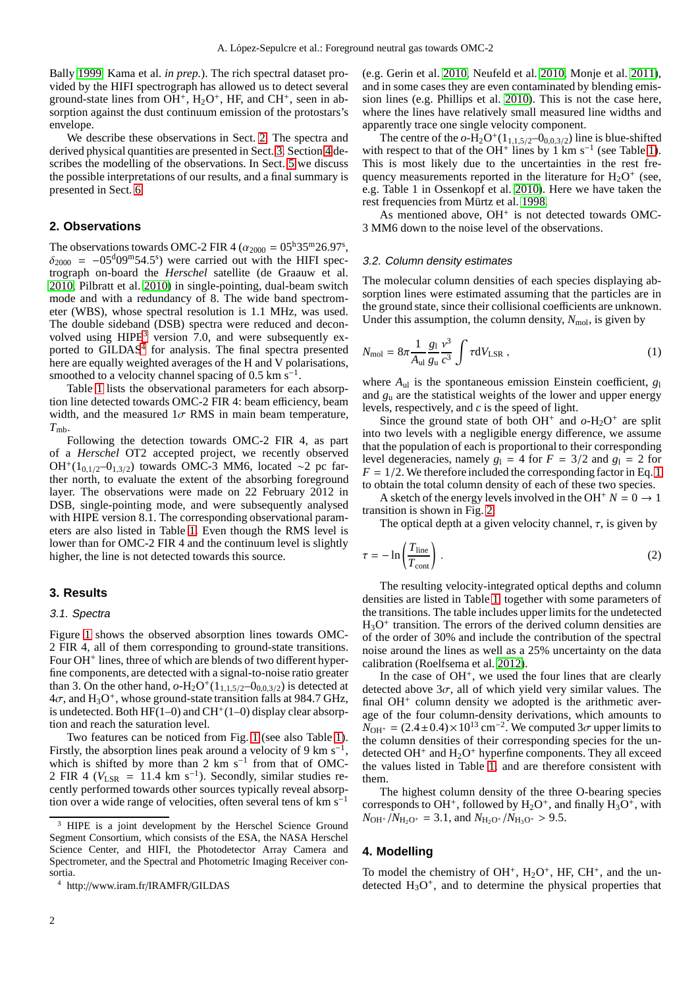Bally [1999,](#page-8-3) Kama et al. *in prep.*). The rich spectral dataset provided by the HIFI spectrograph has allowed us to detect several ground-state lines from  $OH^+$ ,  $H_2O^+$ , HF, and CH<sup>+</sup>, seen in absorption against the dust continuum emission of the protostars's envelope.

We describe these observations in Sect. [2.](#page-1-0) The spectra and derived physical quantities are presented in Sect. [3.](#page-1-1) Section [4](#page-1-2) describes the modelling of the observations. In Sect. [5](#page-5-0) we discuss the possible interpretations of our results, and a final summary is presented in Sect. [6.](#page-8-6)

#### <span id="page-1-0"></span>**2. Observations**

The observations towards OMC-2 FIR 4 ( $\alpha_{2000} = 05^{\text{h}}35^{\text{m}}26.97^{\text{s}}$ ,  $\delta_{2000}$  = -05<sup>d</sup>09<sup>m</sup>54.5<sup>s</sup>) were carried out with the HIFI spectrograph on-board the *Herschel* satellite (de Graauw et al. [2010,](#page-8-7) Pilbratt et al. [2010\)](#page-9-3) in single-pointing, dual-beam switch mode and with a redundancy of 8. The wide band spectrometer (WBS), whose spectral resolution is 1.1 MHz, was used. The double sideband (DSB) spectra were reduced and deconvolved using  $HIPE<sup>3</sup>$  $HIPE<sup>3</sup>$  $HIPE<sup>3</sup>$  version 7.0, and were subsequently ex-ported to GILDAS<sup>[4](#page-1-4)</sup> for analysis. The final spectra presented here are equally weighted averages of the H and V polarisations, smoothed to a velocity channel spacing of  $0.5 \text{ km s}^{-1}$ .

Table [1](#page-2-0) lists the observational parameters for each absorption line detected towards OMC-2 FIR 4: beam efficiency, beam width, and the measured  $1\sigma$  RMS in main beam temperature,  $T_{\rm mb}.$ 

Following the detection towards OMC-2 FIR 4, as part of a *Herschel* OT2 accepted project, we recently observed OH<sup>+</sup>(1<sub>0,1/2</sub>–0<sub>1,3/2</sub>) towards OMC-3 MM6, located ~2 pc farther north, to evaluate the extent of the absorbing foreground layer. The observations were made on 22 February 2012 in DSB, single-pointing mode, and were subsequently analysed with HIPE version 8.1. The corresponding observational parameters are also listed in Table [1.](#page-2-0) Even though the RMS level is lower than for OMC-2 FIR 4 and the continuum level is slightly higher, the line is not detected towards this source.

#### <span id="page-1-1"></span>**3. Results**

#### 3.1. Spectra

Figure [1](#page-2-1) shows the observed absorption lines towards OMC-2 FIR 4, all of them corresponding to ground-state transitions. Four OH<sup>+</sup> lines, three of which are blends of two different hyperfine components, are detected with a signal-to-noise ratio greater than 3. On the other hand,  $o-H_2O^+(1_{1,1,5/2}-0_{0,0,3/2})$  is detected at  $4\sigma$ , and  $H_3O^+$ , whose ground-state transition falls at 984.7 GHz, is undetected. Both HF(1-0) and  $CH<sup>+</sup>(1-0)$  display clear absorption and reach the saturation level.

Two features can be noticed from Fig. [1](#page-2-1) (see also Table [1\)](#page-2-0). Firstly, the absorption lines peak around a velocity of 9 km  $s^{-1}$ , which is shifted by more than 2 km s<sup>-1</sup> from that of OMC-2 FIR 4 ( $V_{LSR}$  = 11.4 km s<sup>-1</sup>). Secondly, similar studies recently performed towards other sources typically reveal absorption over a wide range of velocities, often several tens of  $km s^{-1}$ 

(e.g. Gerin et al. [2010,](#page-8-8) Neufeld et al. [2010,](#page-8-9) Monje et al. [2011\)](#page-8-10), and in some cases they are even contaminated by blending emission lines (e.g. Phillips et al. [2010\)](#page-9-4). This is not the case here, where the lines have relatively small measured line widths and apparently trace one single velocity component.

The centre of the  $o$ -H<sub>2</sub>O<sup>+</sup>(1<sub>1,1,5/2</sub>-O<sub>0,0,3/2</sub>) line is blue-shifted with respect to that of the OH<sup>+</sup> lines by 1 km s<sup>-1</sup> (see Table [1\)](#page-2-0). This is most likely due to the uncertainties in the rest frequency measurements reported in the literature for  $H_2O^+$  (see, e.g. Table 1 in Ossenkopf et al. [2010\)](#page-9-5). Here we have taken the rest frequencies from Mürtz et al. [1998.](#page-8-11)

As mentioned above, OH<sup>+</sup> is not detected towards OMC-3 MM6 down to the noise level of the observations.

#### 3.2. Column density estimates

The molecular column densities of each species displaying absorption lines were estimated assuming that the particles are in the ground state, since their collisional coefficients are unknown. Under this assumption, the column density,  $N_{\text{mol}}$ , is given by

<span id="page-1-5"></span>
$$
N_{\rm mol} = 8\pi \frac{1}{A_{\rm ul}} \frac{g_1}{g_{\rm ul}} \frac{v^3}{c^3} \int \tau dV_{\rm LSR} , \qquad (1)
$$

where  $A_{ul}$  is the spontaneous emission Einstein coefficient,  $g_l$ and  $g<sub>u</sub>$  are the statistical weights of the lower and upper energy levels, respectively, and *c* is the speed of light.

Since the ground state of both  $OH<sup>+</sup>$  and  $o-H<sub>2</sub>O<sup>+</sup>$  are split into two levels with a negligible energy difference, we assume that the population of each is proportional to their corresponding level degeneracies, namely  $g_1 = 4$  for  $F = 3/2$  and  $g_1 = 2$  for  $F = 1/2$  $F = 1/2$  $F = 1/2$ . We therefore included the corresponding factor in Eq. 1 to obtain the total column density of each of these two species.

A sketch of the energy levels involved in the OH<sup>+</sup>  $N = 0 \rightarrow 1$ transition is shown in Fig. [2.](#page-3-0)

The optical depth at a given velocity channel,  $\tau$ , is given by

$$
\tau = -\ln\left(\frac{T_{\text{line}}}{T_{\text{cont}}}\right). \tag{2}
$$

The resulting velocity-integrated optical depths and column densities are listed in Table [1,](#page-2-0) together with some parameters of the transitions. The table includes upper limits for the undetected  $H_3O^+$  transition. The errors of the derived column densities are of the order of 30% and include the contribution of the spectral noise around the lines as well as a 25% uncertainty on the data calibration (Roelfsema et al. [2012\)](#page-9-6).

In the case of  $OH<sup>+</sup>$ , we used the four lines that are clearly detected above  $3\sigma$ , all of which yield very similar values. The final OH<sup>+</sup> column density we adopted is the arithmetic average of the four column-density derivations, which amounts to  $N_{\text{OH}^+} = (2.4 \pm 0.4) \times 10^{13} \text{ cm}^{-2}$ . We computed 3 $\sigma$  upper limits to the column densities of their corresponding species for the undetected OH<sup>+</sup> and  $H_2O^+$  hyperfine components. They all exceed the values listed in Table [1,](#page-2-0) and are therefore consistent with them.

The highest column density of the three O-bearing species corresponds to OH<sup>+</sup>, followed by  $H_2O^+$ , and finally  $H_3O^+$ , with  $N_{\text{OH}^+}/N_{\text{H}_2\text{O}^+} = 3.1$ , and  $N_{\text{H}_2\text{O}^+}/N_{\text{H}_2\text{O}^+} > 9.5$ .

#### <span id="page-1-2"></span>**4. Modelling**

To model the chemistry of OH<sup>+</sup>,  $H_2O^+$ , HF, CH<sup>+</sup>, and the undetected  $H_3O^+$ , and to determine the physical properties that

<span id="page-1-3"></span><sup>&</sup>lt;sup>3</sup> HIPE is a joint development by the Herschel Science Ground Segment Consortium, which consists of the ESA, the NASA Herschel Science Center, and HIFI, the Photodetector Array Camera and Spectrometer, and the Spectral and Photometric Imaging Receiver consortia.

<span id="page-1-4"></span><sup>4</sup> http://www.iram.fr/IRAMFR/GILDAS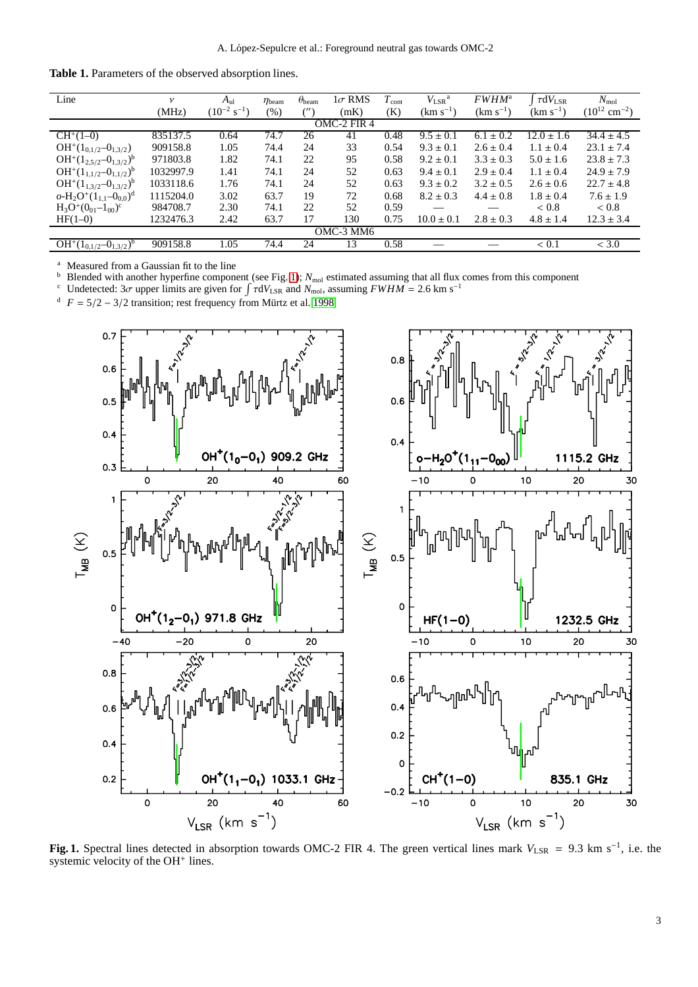<span id="page-2-0"></span>

| Table 1. Parameters of the observed absorption lines. |  |  |  |  |  |
|-------------------------------------------------------|--|--|--|--|--|
|-------------------------------------------------------|--|--|--|--|--|

| Line                                 | $\mathcal V$ | $A_{ul}$                   | $\eta_{\rm beam}$ | $\theta_{\text{beam}}$ | $1\sigma$ RMS | $T_{\rm cont}$ | $V_{\rm LSR}$ <sup>a</sup> | $FWHM^{\rm a}$ | $\tau dV_{LSR}$ | $N_{\rm mol}$                 |
|--------------------------------------|--------------|----------------------------|-------------------|------------------------|---------------|----------------|----------------------------|----------------|-----------------|-------------------------------|
|                                      | (MHz)        | $(10^{-2} \text{ s}^{-1})$ | $(\%)$            |                        | (mK)          | (K)            | $(km s^{-1})$              | $(km s^{-1})$  | $(km s^{-1})$   | $(10^{12}$ cm <sup>-2</sup> ) |
|                                      |              |                            |                   |                        | OMC-2 FIR 4   |                |                            |                |                 |                               |
| $CH^+(1-0)$                          | 835137.5     | 0.64                       | 74.7              | 26                     | 41            | 0.48           | $9.5 \pm 0.1$              | $6.1 \pm 0.2$  | $12.0 \pm 1.6$  | $34.4 \pm 4.5$                |
| $OH^+(1_{0,1/2}-0_{1,3/2})$          | 909158.8     | 1.05                       | 74.4              | 24                     | 33            | 0.54           | $9.3 \pm 0.1$              | $2.6 \pm 0.4$  | $1.1 \pm 0.4$   | $23.1 \pm 7.4$                |
| $OH^+(1_{2,5/2}-0_{1,3/2})^b$        | 971803.8     | 1.82                       | 74.1              | 22                     | 95            | 0.58           | $9.2 \pm 0.1$              | $3.3 \pm 0.3$  | $5.0 \pm 1.6$   | $23.8 \pm 7.3$                |
| $OH^+(1_{1,1/2}-0_{1,1/2})^b$        | 1032997.9    | 1.41                       | 74.1              | 24                     | 52            | 0.63           | $9.4 \pm 0.1$              | $2.9 \pm 0.4$  | $1.1 \pm 0.4$   | $24.9 \pm 7.9$                |
| $OH^+(1_{1,3/2}-0_{1,3/2})^b$        | 1033118.6    | 1.76                       | 74.1              | 24                     | 52            | 0.63           | $9.3 \pm 0.2$              | $3.2 \pm 0.5$  | $2.6 \pm 0.6$   | $22.7 \pm 4.8$                |
| $o\text{-}H_2O^+(1_{1,1}-0_{0,0})^d$ | 1115204.0    | 3.02                       | 63.7              | 19                     | 72            | 0.68           | $8.2 \pm 0.3$              | $4.4 \pm 0.8$  | $1.8 \pm 0.4$   | $7.6 \pm 1.9$                 |
| $H_3O^+(0_{01}-1_{00})^c$            | 984708.7     | 2.30                       | 74.1              | 22                     | 52            | 0.59           |                            |                | ${}< 0.8$       | ${}_{< 0.8}$                  |
| $HF(1-0)$                            | 1232476.3    | 2.42                       | 63.7              | 17                     | 130           | 0.75           | $10.0 \pm 0.1$             | $2.8 \pm 0.3$  | $4.8 \pm 1.4$   | $12.3 \pm 3.4$                |
| OMC-3 MM6                            |              |                            |                   |                        |               |                |                            |                |                 |                               |
| $OH^+(1_{0,1/2}-0_{1,3/2})^b$        | 909158.8     | 1.05                       | 74.4              | 24                     | 13            | 0.58           |                            |                | < 0.1           | < 3.0                         |

<sup>a</sup> Measured from a Gaussian fit to the line<br><sup>b</sup> Blended with another hyperfine compone

<sup>b</sup> Blended with another hyperfine component (see Fig. [1\)](#page-2-1);  $N_{\text{mol}}$  estimated assuming that all flux comes from this component

<sup>c</sup> Undetected:  $3\sigma$  upper limits are given for  $\int \tau dV_{LSR}$  and  $N_{mol}$ , assuming  $FWHM = 2.6$  km s<sup>-1</sup>

 $F = 5/2 - 3/2$  transition; rest frequency from Mürtz et al. [1998](#page-8-11)



<span id="page-2-1"></span>**Fig. 1.** Spectral lines detected in absorption towards OMC-2 FIR 4. The green vertical lines mark  $V_{LSR}$  = 9.3 km s<sup>-1</sup>, i.e. the systemic velocity of the OH<sup>+</sup> lines.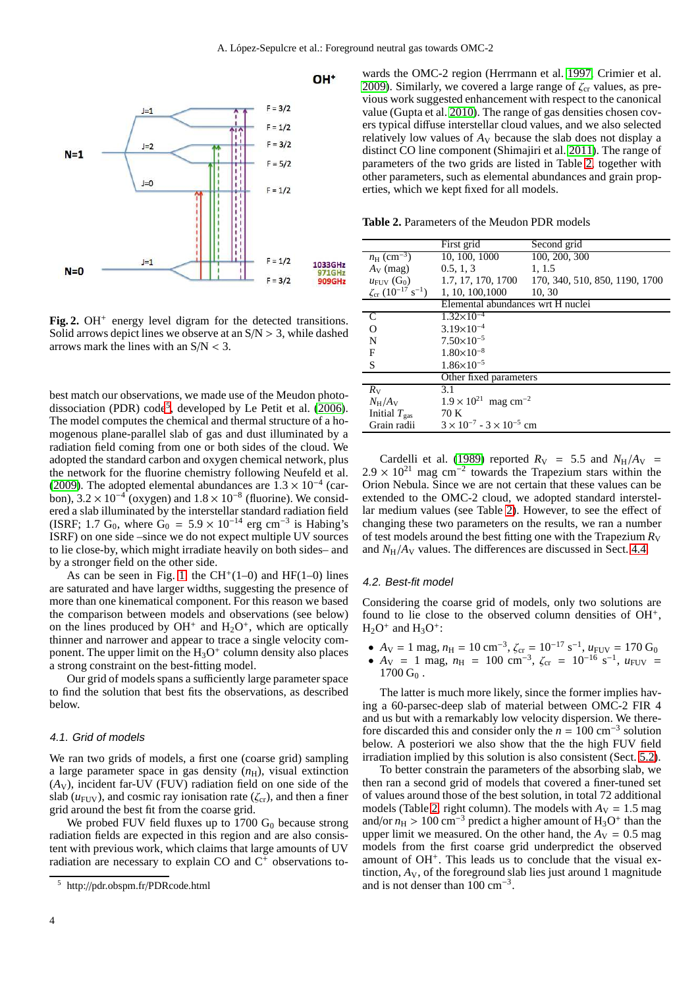

<span id="page-3-0"></span>Fig. 2. OH<sup>+</sup> energy level digram for the detected transitions. Solid arrows depict lines we observe at an  $S/N > 3$ , while dashed arrows mark the lines with an  $S/N < 3$ .

best match our observations, we made use of the Meudon photo-dissociation (PDR) code<sup>[5](#page-3-1)</sup>, developed by Le Petit et al.  $(2006)$ . The model computes the chemical and thermal structure of a homogenous plane-parallel slab of gas and dust illuminated by a radiation field coming from one or both sides of the cloud. We adopted the standard carbon and oxygen chemical network, plus the network for the fluorine chemistry following Neufeld et al. [\(2009\)](#page-8-13). The adopted elemental abundances are  $1.3 \times 10^{-4}$  (carbon),  $3.2 \times 10^{-4}$  (oxygen) and  $1.8 \times 10^{-8}$  (fluorine). We considered a slab illuminated by the interstellar standard radiation field (ISRF; 1.7 G<sub>0</sub>, where  $G_0 = 5.9 \times 10^{-14}$  erg cm<sup>-3</sup> is Habing's ISRF) on one side –since we do not expect multiple UV sources to lie close-by, which might irradiate heavily on both sides– and by a stronger field on the other side.

As can be seen in Fig. [1,](#page-2-1) the CH<sup>+</sup>(1–0) and HF(1–0) lines are saturated and have larger widths, suggesting the presence of more than one kinematical component. For this reason we based the comparison between models and observations (see below) on the lines produced by  $OH^+$  and  $H_2O^+$ , which are optically thinner and narrower and appear to trace a single velocity component. The upper limit on the  $H_3O^+$  column density also places a strong constraint on the best-fitting model.

Our grid of models spans a sufficiently large parameter space to find the solution that best fits the observations, as described below.

#### <span id="page-3-3"></span>4.1. Grid of models

We ran two grids of models, a first one (coarse grid) sampling a large parameter space in gas density  $(n<sub>H</sub>)$ , visual extinction  $(A_V)$ , incident far-UV (FUV) radiation field on one side of the slab ( $u_{\text{FUV}}$ ), and cosmic ray ionisation rate ( $\zeta_{\text{cr}}$ ), and then a finer grid around the best fit from the coarse grid.

We probed FUV field fluxes up to  $1700 \text{ G}_0$  because strong radiation fields are expected in this region and are also consistent with previous work, which claims that large amounts of UV radiation are necessary to explain  $CO$  and  $C<sup>+</sup>$  observations towards the OMC-2 region (Herrmann et al. [1997,](#page-8-14) Crimier et al. [2009\)](#page-8-15). Similarly, we covered a large range of  $\zeta_{cr}$  values, as previous work suggested enhancement with respect to the canonical value (Gupta et al. [2010\)](#page-8-16). The range of gas densities chosen covers typical diffuse interstellar cloud values, and we also selected relatively low values of *A*<sup>V</sup> because the slab does not display a distinct CO line component (Shimajiri et al. [2011\)](#page-9-1). The range of parameters of the two grids are listed in Table [2,](#page-3-2) together with other parameters, such as elemental abundances and grain properties, which we kept fixed for all models.

**Table 2.** Parameters of the Meudon PDR models

<span id="page-3-2"></span>

| First grid                                 | Second grid                    |
|--------------------------------------------|--------------------------------|
| 10, 100, 1000                              | 100, 200, 300                  |
| 0.5, 1, 3                                  | 1, 1.5                         |
| 1.7, 17, 170, 1700                         | 170, 340, 510, 850, 1190, 1700 |
| 1, 10, 100, 1000                           | 10, 30                         |
| Elemental abundances wrt H nuclei          |                                |
| $1.32\times10^{-4}$                        |                                |
| $3.19\times10^{-4}$                        |                                |
| $7.50\times10^{-5}$                        |                                |
| $1.80\times10^{-8}$                        |                                |
| $1.86\times10^{-5}$                        |                                |
| Other fixed parameters                     |                                |
| 3.1                                        |                                |
| $1.9 \times 10^{21}$ mag cm <sup>-2</sup>  |                                |
| 70 K                                       |                                |
| $3 \times 10^{-7}$ - $3 \times 10^{-5}$ cm |                                |
|                                            |                                |

Cardelli et al. [\(1989\)](#page-8-17) reported  $R_V = 5.5$  and  $N_H/A_V =$  $2.9 \times 10^{21}$  mag cm<sup>-2</sup> towards the Trapezium stars within the Orion Nebula. Since we are not certain that these values can be extended to the OMC-2 cloud, we adopted standard interstellar medium values (see Table [2\)](#page-3-2). However, to see the effect of changing these two parameters on the results, we ran a number of test models around the best fitting one with the Trapezium  $R_V$ and  $N_H/A_V$  values. The differences are discussed in Sect. [4.4.](#page-4-0)

#### <span id="page-3-4"></span>4.2. Best-fit model

Considering the coarse grid of models, only two solutions are found to lie close to the observed column densities of OH<sup>+</sup>,  $H_2O^+$  and  $H_3O^+$ :

- $A_V = 1$  mag,  $n_H = 10$  cm<sup>-3</sup>,  $\zeta_{cr} = 10^{-17}$  s<sup>-1</sup>,  $u_{FUV} = 170$  G<sub>0</sub>
- $A_V = 1$  mag,  $n_H = 100$  cm<sup>-3</sup>,  $\zeta_{cr} = 10^{-16}$  s<sup>-1</sup>,  $u_{FUV} =$  $1700 G_0$ .

The latter is much more likely, since the former implies having a 60-parsec-deep slab of material between OMC-2 FIR 4 and us but with a remarkably low velocity dispersion. We therefore discarded this and consider only the  $n = 100 \text{ cm}^{-3}$  solution below. A posteriori we also show that the the high FUV field irradiation implied by this solution is also consistent (Sect. [5.2\)](#page-6-0).

To better constrain the parameters of the absorbing slab, we then ran a second grid of models that covered a finer-tuned set of values around those of the best solution, in total 72 additional models (Table [2,](#page-3-2) right column). The models with  $A_V = 1.5$  mag and/or  $n_{\rm H} > 100 \text{ cm}^{-3}$  predict a higher amount of  $\text{H}_3\text{O}^+$  than the upper limit we measured. On the other hand, the  $A_V = 0.5$  mag models from the first coarse grid underpredict the observed amount of OH<sup>+</sup>. This leads us to conclude that the visual extinction,  $A_V$ , of the foreground slab lies just around 1 magnitude and is not denser than 100 cm<sup>−</sup><sup>3</sup> .

<span id="page-3-1"></span><sup>5</sup> http://pdr.obspm.fr/PDRcode.html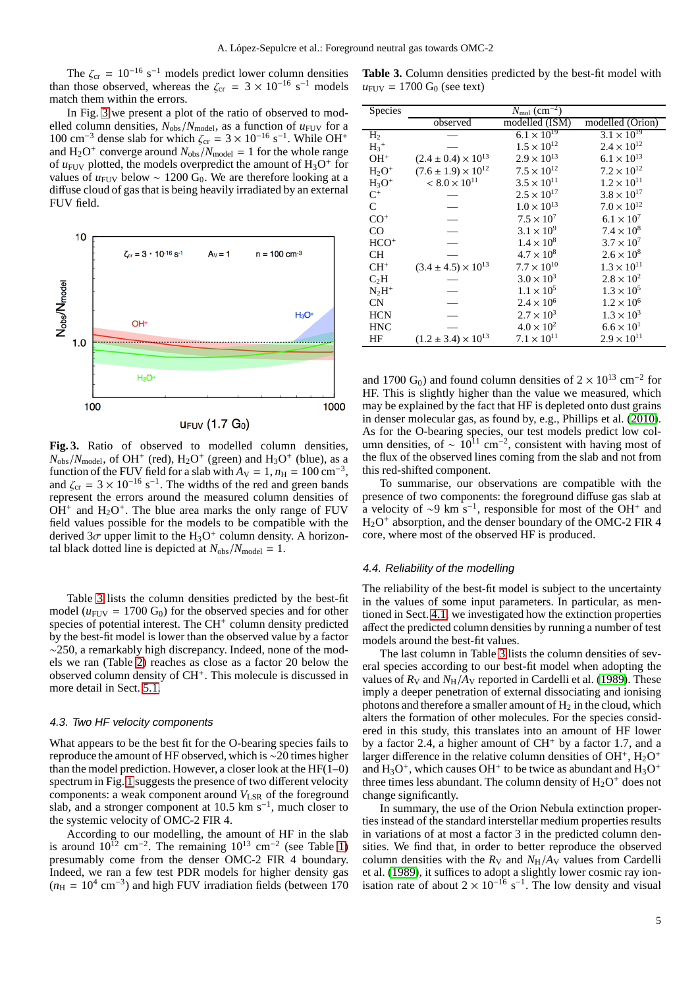The  $\zeta_{\rm cr} = 10^{-16} \text{ s}^{-1}$  models predict lower column densities than those observed, whereas the  $\zeta_{cr} = 3 \times 10^{-16} \text{ s}^{-1}$  models match them within the errors.

<span id="page-4-2"></span>**Table 3.** Column densities predicted by the best-fit model with  $u_{\text{FUV}} = 1700 \text{ G}_0$  (see text)

In Fig. [3](#page-4-1) we present a plot of the ratio of observed to modelled column densities,  $N_{obs}/N_{model}$ , as a function of  $u_{FUV}$  for a 100 cm<sup>-3</sup> dense slab for which  $\zeta_{cr} = 3 \times 10^{-16}$  s<sup>-1</sup>. While OH<sup>+</sup> and  $H_2O^+$  converge around  $N_{obs}/N_{model} = 1$  for the whole range of  $u_{\text{FUV}}$  plotted, the models overpredict the amount of  $H_3O^+$  for values of  $u_{\text{FUV}}$  below ~ 1200 G<sub>0</sub>. We are therefore looking at a diffuse cloud of gas that is being heavily irradiated by an external FUV field.



| Species            |                                | $N_{\text{mol}}~(\text{cm}^{-2})$ |                      |
|--------------------|--------------------------------|-----------------------------------|----------------------|
|                    | observed                       | modelled (ISM)                    | modelled (Orion)     |
| H <sub>2</sub>     |                                | $6.1 \times 10^{19}$              | $3.1 \times 10^{19}$ |
| $H_3$ <sup>+</sup> |                                | $1.5 \times 10^{12}$              | $2.4 \times 10^{12}$ |
| $OH+$              | $(2.4 \pm 0.4) \times 10^{13}$ | $2.9 \times 10^{13}$              | $6.1\times10^{13}$   |
| $H_2O^+$           | $(7.6 \pm 1.9) \times 10^{12}$ | $7.5 \times 10^{12}$              | $7.2 \times 10^{12}$ |
| $H_3O^+$           | $< 8.0 \times 10^{11}$         | $3.5 \times 10^{11}$              | $1.2 \times 10^{11}$ |
| $\mathrm{C}^+$     |                                | $2.5 \times 10^{17}$              | $3.8 \times 10^{17}$ |
| $\mathbf{C}$       |                                | $1.0 \times 10^{13}$              | $7.0\times10^{12}$   |
| $CO+$              |                                | $7.5 \times 10^{7}$               | $6.1 \times 10^{7}$  |
| CO                 |                                | $3.1 \times 10^{9}$               | $7.4 \times 10^{8}$  |
| $HCO+$             |                                | $1.4 \times 10^{8}$               | $3.7 \times 10^{7}$  |
| CН                 |                                | $4.7 \times 10^{8}$               | $2.6 \times 10^{8}$  |
| $CH^+$             | $(3.4 \pm 4.5) \times 10^{13}$ | $7.7 \times 10^{10}$              | $1.3 \times 10^{11}$ |
| C <sub>2</sub> H   |                                | $3.0 \times 10^{3}$               | $2.8 \times 10^{2}$  |
| $N_2H^+$           |                                | $1.1 \times 10^{5}$               | $1.3 \times 10^{5}$  |
| CN                 |                                | $2.4 \times 10^{6}$               | $1.2 \times 10^{6}$  |
| <b>HCN</b>         |                                | $2.7 \times 10^{3}$               | $1.3 \times 10^{3}$  |
| <b>HNC</b>         |                                | $4.0 \times 10^{2}$               | $6.6 \times 10^{1}$  |
| ΗF                 | $(1.2 \pm 3.4) \times 10^{13}$ | $7.1 \times 10^{11}$              | $2.9 \times 10^{11}$ |

and 1700 G<sub>0</sub>) and found column densities of  $2 \times 10^{13}$  cm<sup>-2</sup> for HF. This is slightly higher than the value we measured, which may be explained by the fact that HF is depleted onto dust grains in denser molecular gas, as found by, e.g., Phillips et al. [\(2010\)](#page-9-4). As for the O-bearing species, our test models predict low column densities, of  $\sim 10^{11}$  cm<sup>-2</sup>, consistent with having most of the flux of the observed lines coming from the slab and not from this red-shifted component.

To summarise, our observations are compatible with the presence of two components: the foreground diffuse gas slab at a velocity of ~9 km s<sup>-1</sup>, responsible for most of the OH<sup>+</sup> and H<sub>2</sub>O<sup>+</sup> absorption, and the denser boundary of the OMC-2 FIR 4 core, where most of the observed HF is produced.

#### <span id="page-4-0"></span>4.4. Reliability of the modelling

The reliability of the best-fit model is subject to the uncertainty in the values of some input parameters. In particular, as mentioned in Sect. [4.1,](#page-3-3) we investigated how the extinction properties affect the predicted column densities by running a number of test models around the best-fit values.

The last column in Table [3](#page-4-2) lists the column densities of several species according to our best-fit model when adopting the values of  $R_V$  and  $N_H/A_V$  reported in Cardelli et al. [\(1989\)](#page-8-17). These imply a deeper penetration of external dissociating and ionising photons and therefore a smaller amount of  $H_2$  in the cloud, which alters the formation of other molecules. For the species considered in this study, this translates into an amount of HF lower by a factor 2.4, a higher amount of  $CH<sup>+</sup>$  by a factor 1.7, and a larger difference in the relative column densities of  $OH^+, H_2O^+$ and  $H_3O^+$ , which causes OH<sup>+</sup> to be twice as abundant and  $H_3O^+$ three times less abundant. The column density of  $H_2O^+$  does not change significantly.

In summary, the use of the Orion Nebula extinction properties instead of the standard interstellar medium properties results in variations of at most a factor 3 in the predicted column densities. We find that, in order to better reproduce the observed column densities with the  $R_V$  and  $N_H/A_V$  values from Cardelli et al. [\(1989\)](#page-8-17), it suffices to adopt a slightly lower cosmic ray ionisation rate of about  $2 \times 10^{-16}$  s<sup>-1</sup>. The low density and visual

<span id="page-4-1"></span>**Fig. 3.** Ratio of observed to modelled column densities,  $N_{\text{obs}}/N_{\text{model}}$ , of OH<sup>+</sup> (red),  $H_2O^+$  (green) and  $H_3O^+$  (blue), as a function of the FUV field for a slab with  $A_V = 1$ ,  $n_H = 100 \text{ cm}^{-3}$ , and  $\zeta_{cr} = 3 \times 10^{-16} \text{ s}^{-1}$ . The widths of the red and green bands represent the errors around the measured column densities of  $OH<sup>+</sup>$  and  $H<sub>2</sub>O<sup>+</sup>$ . The blue area marks the only range of FUV field values possible for the models to be compatible with the derived  $3\sigma$  upper limit to the H<sub>3</sub>O<sup>+</sup> column density. A horizontal black dotted line is depicted at  $N_{\text{obs}}/N_{\text{model}} = 1$ .

Table [3](#page-4-2) lists the column densities predicted by the best-fit model ( $u_{\text{FUV}}$  = 1700 G<sub>0</sub>) for the observed species and for other species of potential interest. The CH<sup>+</sup> column density predicted by the best-fit model is lower than the observed value by a factor ∼250, a remarkably high discrepancy. Indeed, none of the models we ran (Table [2\)](#page-3-2) reaches as close as a factor 20 below the observed column density of CH<sup>+</sup>. This molecule is discussed in more detail in Sect. [5.1.](#page-5-1)

#### 4.3. Two HF velocity components

What appears to be the best fit for the O-bearing species fails to reproduce the amount of HF observed, which is ∼20 times higher than the model prediction. However, a closer look at the HF(1–0) spectrum in Fig. [1](#page-2-1) suggests the presence of two different velocity components: a weak component around *V*<sub>LSR</sub> of the foreground slab, and a stronger component at  $10.5 \text{ km s}^{-1}$ , much closer to the systemic velocity of OMC-2 FIR 4.

According to our modelling, the amount of HF in the slab is around  $10^{12}$  cm<sup>-2</sup>. The remaining  $10^{13}$  cm<sup>-2</sup> (see Table [1\)](#page-2-0) presumably come from the denser OMC-2 FIR 4 boundary. Indeed, we ran a few test PDR models for higher density gas  $(n<sub>H</sub> = 10<sup>4</sup> cm<sup>-3</sup>)$  and high FUV irradiation fields (between 170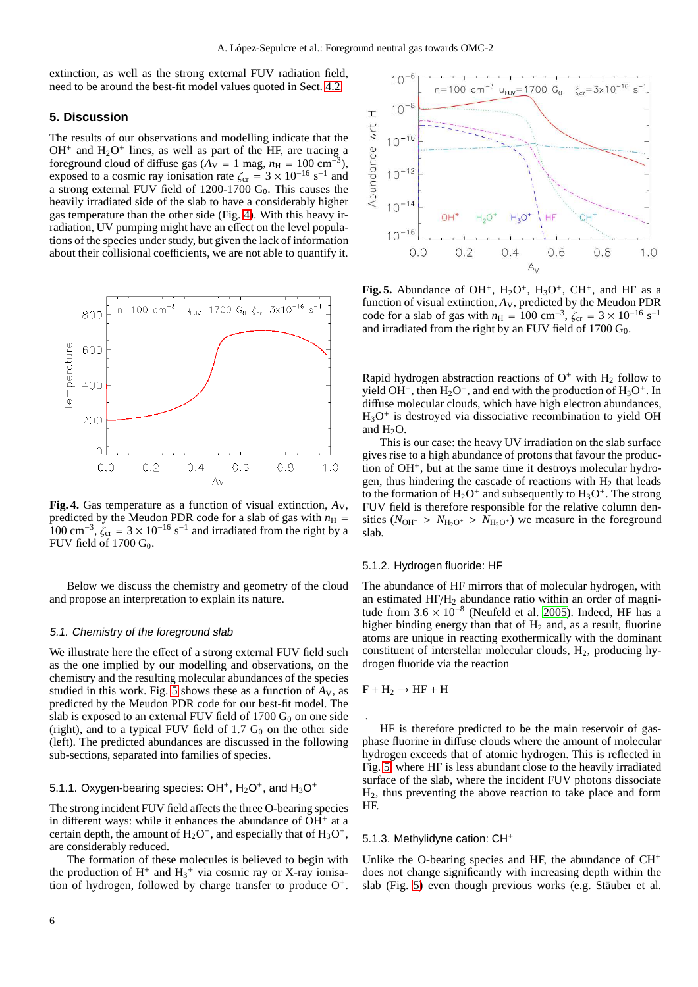extinction, as well as the strong external FUV radiation field, need to be around the best-fit model values quoted in Sect. [4.2.](#page-3-4)

#### <span id="page-5-0"></span>**5. Discussion**

The results of our observations and modelling indicate that the  $OH<sup>+</sup>$  and  $H<sub>2</sub>O<sup>+</sup>$  lines, as well as part of the HF, are tracing a foreground cloud of diffuse gas ( $A_V = 1$  mag,  $n_H = 100$  cm<sup>-3</sup> ), exposed to a cosmic ray ionisation rate  $\zeta_{cr} = 3 \times 10^{-16} \text{ s}^{-1}$  and a strong external FUV field of  $1200-1700$  G<sub>0</sub>. This causes the heavily irradiated side of the slab to have a considerably higher gas temperature than the other side (Fig. [4\)](#page-5-2). With this heavy irradiation, UV pumping might have an effect on the level populations of the species under study, but given the lack of information about their collisional coefficients, we are not able to quantify it.



<span id="page-5-2"></span>**Fig. 4.** Gas temperature as a function of visual extinction,  $A_V$ , predicted by the Meudon PDR code for a slab of gas with  $n<sub>H</sub>$  = 100 cm<sup>-3</sup>,  $\zeta_{cr} = 3 \times 10^{-16}$  s<sup>-1</sup> and irradiated from the right by a FUV field of  $1700 \text{ G}_0$ .

Below we discuss the chemistry and geometry of the cloud and propose an interpretation to explain its nature.

#### <span id="page-5-1"></span>5.1. Chemistry of the foreground slab

We illustrate here the effect of a strong external FUV field such as the one implied by our modelling and observations, on the chemistry and the resulting molecular abundances of the species studied in this work. Fig. [5](#page-5-3) shows these as a function of  $A_V$ , as predicted by the Meudon PDR code for our best-fit model. The slab is exposed to an external FUV field of  $1700 \text{ G}_0$  on one side (right), and to a typical FUV field of  $1.7 \text{ G}_0$  on the other side (left). The predicted abundances are discussed in the following sub-sections, separated into families of species.

## <span id="page-5-4"></span>5.1.1. Oxygen-bearing species: OH<sup>+</sup>,  $H_2O^+$ , and  $H_3O^+$

The strong incident FUV field affects the three O-bearing species in different ways: while it enhances the abundance of  $OH<sup>+</sup>$  at a certain depth, the amount of  $H_2O^+$ , and especially that of  $H_3O^+$ , are considerably reduced.

The formation of these molecules is believed to begin with the production of  $H^+$  and  $H_3^+$  via cosmic ray or X-ray ionisation of hydrogen, followed by charge transfer to produce O<sup>+</sup> .



<span id="page-5-3"></span>Fig. 5. Abundance of OH<sup>+</sup>,  $H_2O^+$ ,  $H_3O^+$ , CH<sup>+</sup>, and HF as a function of visual extinction,  $A_V$ , predicted by the Meudon PDR code for a slab of gas with  $n_{\text{H}} = 100 \text{ cm}^{-3}$ ,  $\zeta_{\text{cr}} = 3 \times 10^{-16} \text{ s}^{-1}$ and irradiated from the right by an FUV field of  $1700 \text{ G}_0$ .

Rapid hydrogen abstraction reactions of  $O^+$  with H<sub>2</sub> follow to yield OH<sup>+</sup>, then  $H_2O^+$ , and end with the production of  $H_3O^+$ . In diffuse molecular clouds, which have high electron abundances,  $H_3O^+$  is destroyed via dissociative recombination to yield OH and  $H_2O$ .

This is our case: the heavy UV irradiation on the slab surface gives rise to a high abundance of protons that favour the production of OH<sup>+</sup>, but at the same time it destroys molecular hydrogen, thus hindering the cascade of reactions with  $H_2$  that leads to the formation of  $H_2O^+$  and subsequently to  $H_3O^+$ . The strong FUV field is therefore responsible for the relative column densities ( $N_{\text{OH}^+} > N_{\text{H}_2\text{O}^+} > N_{\text{H}_3\text{O}^+}$ ) we measure in the foreground slab.

#### 5.1.2. Hydrogen fluoride: HF

The abundance of HF mirrors that of molecular hydrogen, with an estimated HF/H<sup>2</sup> abundance ratio within an order of magnitude from  $3.6 \times 10^{-8}$  (Neufeld et al. [2005\)](#page-8-18). Indeed, HF has a higher binding energy than that of  $H_2$  and, as a result, fluorine atoms are unique in reacting exothermically with the dominant constituent of interstellar molecular clouds,  $H_2$ , producing hydrogen fluoride via the reaction

$$
F + H_2 \rightarrow HF + H
$$

.

HF is therefore predicted to be the main reservoir of gasphase fluorine in diffuse clouds where the amount of molecular hydrogen exceeds that of atomic hydrogen. This is reflected in Fig. [5,](#page-5-3) where HF is less abundant close to the heavily irradiated surface of the slab, where the incident FUV photons dissociate H2, thus preventing the above reaction to take place and form HF.

### 5.1.3. Methylidyne cation: CH<sup>+</sup>

Unlike the O-bearing species and HF, the abundance of CH<sup>+</sup> does not change significantly with increasing depth within the slab (Fig. [5\)](#page-5-3) even though previous works (e.g. Stäuber et al.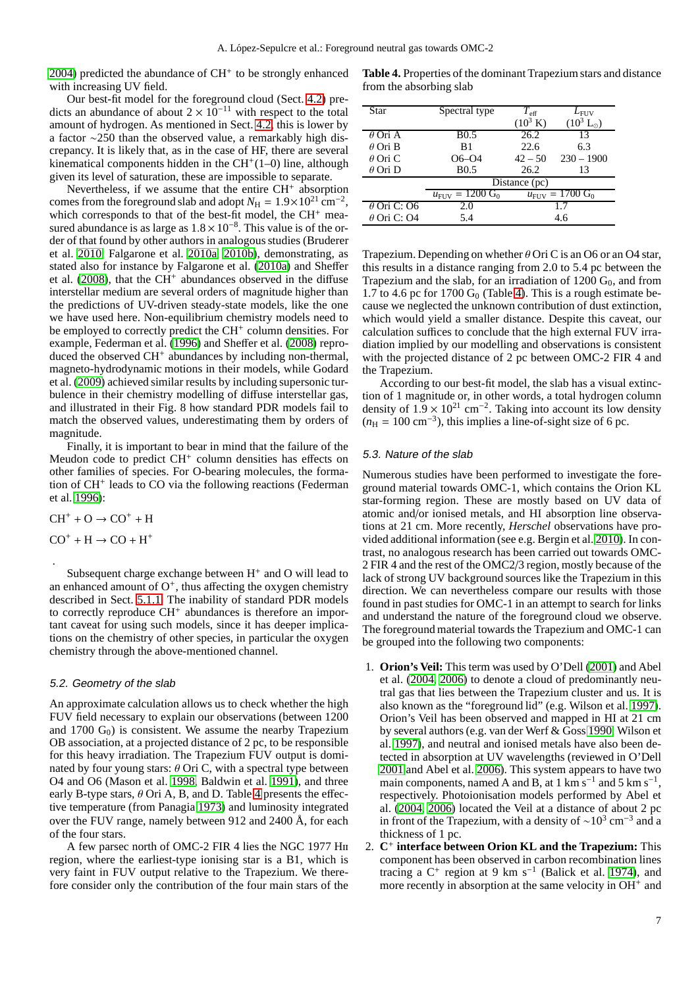[2004\)](#page-9-7) predicted the abundance of CH<sup>+</sup> to be strongly enhanced with increasing UV field.

Our best-fit model for the foreground cloud (Sect. [4.2\)](#page-3-4) predicts an abundance of about  $2 \times 10^{-11}$  with respect to the total amount of hydrogen. As mentioned in Sect. [4.2,](#page-3-4) this is lower by a factor ∼250 than the observed value, a remarkably high discrepancy. It is likely that, as in the case of HF, there are several kinematical components hidden in the  $CH<sup>+</sup>(1-0)$  line, although given its level of saturation, these are impossible to separate.

Nevertheless, if we assume that the entire CH<sup>+</sup> absorption comes from the foreground slab and adopt  $N_H = 1.9 \times 10^{21}$  cm<sup>-2</sup>, which corresponds to that of the best-fit model, the CH<sup>+</sup> measured abundance is as large as  $1.8 \times 10^{-8}$ . This value is of the order of that found by other authors in analogous studies (Bruderer et al. [2010,](#page-8-19) Falgarone et al. [2010a,](#page-8-20) [2010b\)](#page-8-21), demonstrating, as stated also for instance by Falgarone et al. [\(2010a\)](#page-8-20) and Sheffer et al. [\(2008\)](#page-9-8), that the  $CH<sup>+</sup>$  abundances observed in the diffuse interstellar medium are several orders of magnitude higher than the predictions of UV-driven steady-state models, like the one we have used here. Non-equilibrium chemistry models need to be employed to correctly predict the CH<sup>+</sup> column densities. For example, Federman et al. [\(1996\)](#page-8-22) and Sheffer et al. [\(2008\)](#page-9-8) reproduced the observed CH<sup>+</sup> abundances by including non-thermal, magneto-hydrodynamic motions in their models, while Godard et al. [\(2009\)](#page-8-23) achieved similar results by including supersonic turbulence in their chemistry modelling of diffuse interstellar gas, and illustrated in their Fig. 8 how standard PDR models fail to match the observed values, underestimating them by orders of magnitude.

Finally, it is important to bear in mind that the failure of the Meudon code to predict CH<sup>+</sup> column densities has effects on other families of species. For O-bearing molecules, the formation of CH<sup>+</sup> leads to CO via the following reactions (Federman et al. [1996\)](#page-8-22):

 $CH^+ + O \rightarrow CO^+ + H$  $CO^+ + H \rightarrow CO + H^+$ 

.

Subsequent charge exchange between  $H^+$  and O will lead to an enhanced amount of  $O<sup>+</sup>$ , thus affecting the oxygen chemistry described in Sect. [5.1.1.](#page-5-4) The inability of standard PDR models to correctly reproduce CH<sup>+</sup> abundances is therefore an important caveat for using such models, since it has deeper implications on the chemistry of other species, in particular the oxygen chemistry through the above-mentioned channel.

#### <span id="page-6-0"></span>5.2. Geometry of the slab

An approximate calculation allows us to check whether the high FUV field necessary to explain our observations (between 1200 and  $1700 \text{ G}_0$  is consistent. We assume the nearby Trapezium OB association, at a projected distance of 2 pc, to be responsible for this heavy irradiation. The Trapezium FUV output is dominated by four young stars:  $\theta$  Ori C, with a spectral type between O4 and O6 (Mason et al. [1998,](#page-8-24) Baldwin et al. [1991\)](#page-8-25), and three early B-type stars,  $\theta$  Ori A, B, and D. Table [4](#page-6-1) presents the effective temperature (from Panagia [1973\)](#page-9-9) and luminosity integrated over the FUV range, namely between 912 and 2400 Å, for each of the four stars.

A few parsec north of OMC-2 FIR 4 lies the NGC 1977 Hii region, where the earliest-type ionising star is a B1, which is very faint in FUV output relative to the Trapezium. We therefore consider only the contribution of the four main stars of the

<span id="page-6-1"></span>**Table 4.** Properties of the dominant Trapezium stars and distance from the absorbing slab

| Star               | Spectral type                       | $T_{\rm eff}$      | $L_{\text{FUV}}$                    |
|--------------------|-------------------------------------|--------------------|-------------------------------------|
|                    |                                     | $(10^3 \text{ K})$ | $(10^3 L_{\odot})$                  |
| $\theta$ Ori A     | B0.5                                | 26.2               | 13                                  |
| $\theta$ Ori B     | B1                                  | 22.6               | 6.3                                 |
| $\theta$ Ori C     | 06–04                               | $42 - 50$          | $230 - 1900$                        |
| $\theta$ Ori D     | B0.5                                | 26.2               | 13                                  |
|                    |                                     | Distance (pc)      |                                     |
|                    | $u_{\text{FUV}} = 1200 \text{ G}_0$ |                    | $u_{\text{FUV}} = 1700 \text{ G}_0$ |
| $\theta$ Ori C: O6 | 2.0                                 |                    |                                     |
| $\theta$ Ori C: O4 | 5.4                                 | 4.6                |                                     |

Trapezium. Depending on whether  $\theta$  Ori C is an O6 or an O4 star, this results in a distance ranging from 2.0 to 5.4 pc between the Trapezium and the slab, for an irradiation of  $1200 \text{ G}_0$ , and from 1.7 to 4.6 pc for 1700  $G_0$  (Table [4\)](#page-6-1). This is a rough estimate because we neglected the unknown contribution of dust extinction, which would yield a smaller distance. Despite this caveat, our calculation suffices to conclude that the high external FUV irradiation implied by our modelling and observations is consistent with the projected distance of 2 pc between OMC-2 FIR 4 and the Trapezium.

According to our best-fit model, the slab has a visual extinction of 1 magnitude or, in other words, a total hydrogen column density of  $1.9 \times 10^{21}$  cm<sup>-2</sup>. Taking into account its low density  $(n<sub>H</sub> = 100 \text{ cm}^{-3})$ , this implies a line-of-sight size of 6 pc.

#### 5.3. Nature of the slab

Numerous studies have been performed to investigate the foreground material towards OMC-1, which contains the Orion KL star-forming region. These are mostly based on UV data of atomic and/or ionised metals, and HI absorption line observations at 21 cm. More recently, *Herschel* observations have provided additional information (see e.g. Bergin et al. [2010\)](#page-8-26). In contrast, no analogous research has been carried out towards OMC-2 FIR 4 and the rest of the OMC2/3 region, mostly because of the lack of strong UV background sources like the Trapezium in this direction. We can nevertheless compare our results with those found in past studies for OMC-1 in an attempt to search for links and understand the nature of the foreground cloud we observe. The foreground material towards the Trapezium and OMC-1 can be grouped into the following two components:

- 1. **Orion's Veil:** This term was used by O'Dell [\(2001\)](#page-9-10) and Abel et al. [\(2004,](#page-8-27) [2006\)](#page-8-28) to denote a cloud of predominantly neutral gas that lies between the Trapezium cluster and us. It is also known as the "foreground lid" (e.g. Wilson et al. [1997\)](#page-9-11). Orion's Veil has been observed and mapped in HI at 21 cm by several authors (e.g. van der Werf & Goss [1990,](#page-9-12) Wilson et al. [1997\)](#page-9-11), and neutral and ionised metals have also been detected in absorption at UV wavelengths (reviewed in O'Dell [2001](#page-9-10) and Abel et al. [2006\)](#page-8-28). This system appears to have two main components, named A and B, at 1 km s<sup>-1</sup> and 5 km s<sup>-1</sup>, respectively. Photoionisation models performed by Abel et al. [\(2004,](#page-8-27) [2006\)](#page-8-28) located the Veil at a distance of about 2 pc in front of the Trapezium, with a density of  $\sim 10^3$  cm<sup>-3</sup> and a thickness of 1 pc.
- 2. **C** + **interface between Orion KL and the Trapezium:** This component has been observed in carbon recombination lines tracing a  $C^+$  region at 9 km s<sup>-1</sup> (Balick et al. [1974\)](#page-8-29), and more recently in absorption at the same velocity in OH<sup>+</sup> and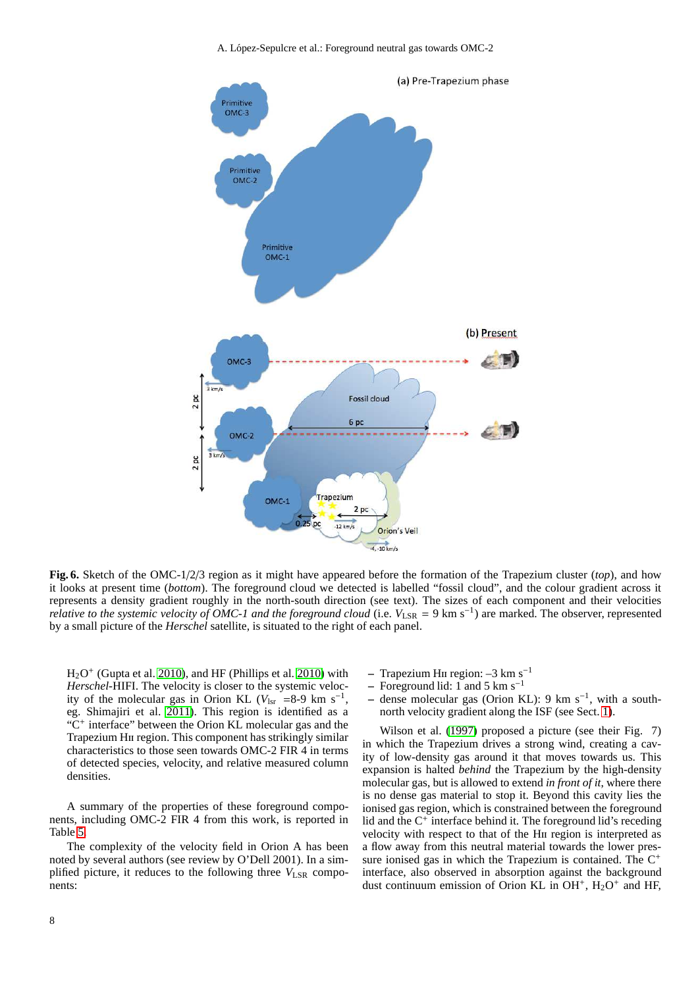A. López-Sepulcre et al.: Foreground neutral gas towards OMC-2



<span id="page-7-0"></span>**Fig. 6.** Sketch of the OMC-1/2/3 region as it might have appeared before the formation of the Trapezium cluster (*top*), and how it looks at present time (*bottom*). The foreground cloud we detected is labelled "fossil cloud", and the colour gradient across it represents a density gradient roughly in the north-south direction (see text). The sizes of each component and their velocities *relative to the systemic velocity of OMC-1 and the foreground cloud* (i.e.  $V_{LSR} = 9 \text{ km s}^{-1}$ ) are marked. The observer, represented by a small picture of the *Herschel* satellite, is situated to the right of each panel.

 $H<sub>2</sub>O<sup>+</sup>$  (Gupta et al. [2010\)](#page-9-4), and HF (Phillips et al. 2010) with *Herschel*-HIFI. The velocity is closer to the systemic velocity of the molecular gas in Orion KL ( $V_{\text{lsr}}$  =8-9 km s<sup>-1</sup>, eg. Shimajiri et al. [2011\)](#page-9-1). This region is identified as a "C<sup>+</sup> interface" between the Orion KL molecular gas and the Trapezium Hii region. This component has strikingly similar characteristics to those seen towards OMC-2 FIR 4 in terms of detected species, velocity, and relative measured column densities.

A summary of the properties of these foreground components, including OMC-2 FIR 4 from this work, is reported in Table [5.](#page-8-30)

The complexity of the velocity field in Orion A has been noted by several authors (see review by O'Dell 2001). In a simplified picture, it reduces to the following three  $V_{LSR}$  components:

- **–** Trapezium Hii region: –3 km s−<sup>1</sup>
- **–** Foreground lid: 1 and 5 km s−<sup>1</sup>
- **–** dense molecular gas (Orion KL): 9 km s<sup>−</sup><sup>1</sup> , with a southnorth velocity gradient along the ISF (see Sect. [1\)](#page-0-2).

Wilson et al. [\(1997\)](#page-9-11) proposed a picture (see their Fig. 7) in which the Trapezium drives a strong wind, creating a cavity of low-density gas around it that moves towards us. This expansion is halted *behind* the Trapezium by the high-density molecular gas, but is allowed to extend *in front of it*, where there is no dense gas material to stop it. Beyond this cavity lies the ionised gas region, which is constrained between the foreground lid and the  $C^+$  interface behind it. The foreground lid's receding velocity with respect to that of the Hii region is interpreted as a flow away from this neutral material towards the lower pressure ionised gas in which the Trapezium is contained. The  $C^+$ interface, also observed in absorption against the background dust continuum emission of Orion KL in  $OH^+$ ,  $H_2O^+$  and HF,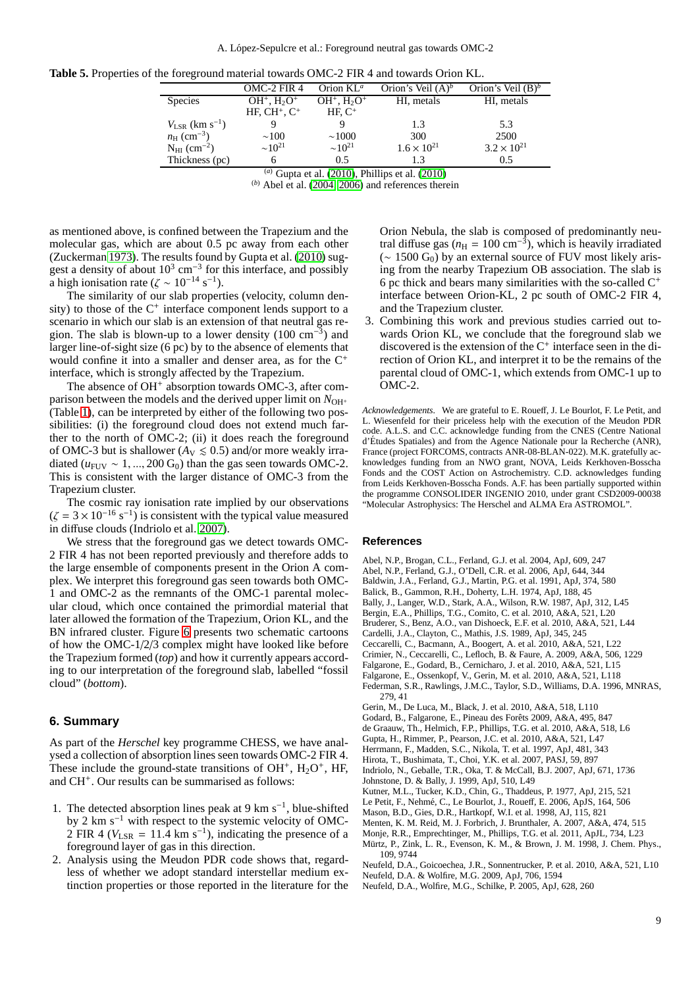<span id="page-8-30"></span>

| <b>Table 5.</b> Properties of the foreground material towards OMC-2 FIR 4 and towards Orion KL. |  |
|-------------------------------------------------------------------------------------------------|--|
|-------------------------------------------------------------------------------------------------|--|

|                                  | OMC-2 FIR 4       | Orion $KL^a$   | Orion's Veil $(A)^b$               | Orion's Veil $(B)^b$ |
|----------------------------------|-------------------|----------------|------------------------------------|----------------------|
| <b>Species</b>                   | $OH^+$ , $H_2O^+$ | $OH^+, H2O+$   | HI, metals                         | HI, metals           |
|                                  | $HF, CH^+, C^+$   | $HF, C^+$      |                                    |                      |
| $V_{LSR}$ (km s <sup>-1</sup> )  |                   |                | 1.3                                | 5.3                  |
| $n_{\rm H}$ (cm <sup>-3</sup> )  | $\sim$ 100        | $\sim$ 1000    | 300                                | 2500                 |
| $N_{\rm HI}$ (cm <sup>-2</sup> ) | $\sim 10^{21}$    | $\sim 10^{21}$ | $1.6 \times 10^{21}$               | $3.2 \times 10^{21}$ |
| Thickness (pc)                   | h                 | 0.5            | 1.3                                | 0.5                  |
|                                  | (a)               |                | $\sim$ $\sim$ $\sim$ $\sim$ $\sim$ |                      |

(*a*) Gupta et al. [\(2010\)](#page-8-16), Phillips et al. [\(2010\)](#page-9-4)

(*b*) Abel et al. [\(2004,](#page-8-27) [2006\)](#page-8-28) and references therein

as mentioned above, is confined between the Trapezium and the molecular gas, which are about 0.5 pc away from each other (Zuckerman [1973\)](#page-9-13). The results found by Gupta et al. [\(2010\)](#page-8-16) suggest a density of about  $10^3$  cm<sup>-3</sup> for this interface, and possibly a high ionisation rate ( $\zeta \sim 10^{-14}$  s<sup>-1</sup>).

The similarity of our slab properties (velocity, column density) to those of the  $C^+$  interface component lends support to a scenario in which our slab is an extension of that neutral gas region. The slab is blown-up to a lower density  $(100 \text{ cm}^{-3})$  and larger line-of-sight size (6 pc) by to the absence of elements that would confine it into a smaller and denser area, as for the  $C^+$ interface, which is strongly affected by the Trapezium.

The absence of OH<sup>+</sup> absorption towards OMC-3, after comparison between the models and the derived upper limit on  $N_{\text{OH}^+}$ (Table [1\)](#page-2-0), can be interpreted by either of the following two possibilities: (i) the foreground cloud does not extend much farther to the north of OMC-2; (ii) it does reach the foreground of OMC-3 but is shallower ( $A_V \le 0.5$ ) and/or more weakly irradiated ( $u_{\text{FUV}} \sim 1, ..., 200 \,\text{G}_0$ ) than the gas seen towards OMC-2. This is consistent with the larger distance of OMC-3 from the Trapezium cluster.

The cosmic ray ionisation rate implied by our observations  $(\zeta = 3 \times 10^{-16} \text{ s}^{-1})$  is consistent with the typical value measured in diffuse clouds (Indriolo et al. [2007\)](#page-8-31).

We stress that the foreground gas we detect towards OMC-2 FIR 4 has not been reported previously and therefore adds to the large ensemble of components present in the Orion A complex. We interpret this foreground gas seen towards both OMC-1 and OMC-2 as the remnants of the OMC-1 parental molecular cloud, which once contained the primordial material that later allowed the formation of the Trapezium, Orion KL, and the BN infrared cluster. Figure [6](#page-7-0) presents two schematic cartoons of how the OMC-1/2/3 complex might have looked like before the Trapezium formed (*top*) and how it currently appears according to our interpretation of the foreground slab, labelled "fossil cloud" (*bottom*).

#### <span id="page-8-6"></span>**6. Summary**

As part of the *Herschel* key programme CHESS, we have analysed a collection of absorption lines seen towards OMC-2 FIR 4. These include the ground-state transitions of  $OH^+$ ,  $H_2O^+$ , HF, and CH<sup>+</sup> . Our results can be summarised as follows:

- 1. The detected absorption lines peak at 9 km s<sup>−</sup><sup>1</sup> , blue-shifted by 2 km s<sup>−</sup><sup>1</sup> with respect to the systemic velocity of OMC- $2$  FIR 4 ( $V_{LSR} = 11.\overline{4}$  km s<sup>-1</sup>), indicating the presence of a foreground layer of gas in this direction.
- 2. Analysis using the Meudon PDR code shows that, regardless of whether we adopt standard interstellar medium extinction properties or those reported in the literature for the

Orion Nebula, the slab is composed of predominantly neutral diffuse gas ( $n_H = 100 \text{ cm}^{-3}$ ), which is heavily irradiated  $({\sim 1500 \text{ G}_0})$  by an external source of FUV most likely arising from the nearby Trapezium OB association. The slab is 6 pc thick and bears many similarities with the so-called  $C^+$ interface between Orion-KL, 2 pc south of OMC-2 FIR 4, and the Trapezium cluster.

3. Combining this work and previous studies carried out towards Orion KL, we conclude that the foreground slab we discovered is the extension of the  $C^+$  interface seen in the direction of Orion KL, and interpret it to be the remains of the parental cloud of OMC-1, which extends from OMC-1 up to OMC-2.

*Acknowledgements.* We are grateful to E. Roueff, J. Le Bourlot, F. Le Petit, and L. Wiesenfeld for their priceless help with the execution of the Meudon PDR code. A.L.S. and C.C. acknowledge funding from the CNES (Centre National d'Études Spatiales) and from the Agence Nationale pour la Recherche (ANR), France (project FORCOMS, contracts ANR-08-BLAN-022). M.K. gratefully acknowledges funding from an NWO grant, NOVA, Leids Kerkhoven-Bosscha Fonds and the COST Action on Astrochemistry. C.D. acknowledges funding from Leids Kerkhoven-Bosscha Fonds. A.F. has been partially supported within the programme CONSOLIDER INGENIO 2010, under grant CSD2009-00038 "Molecular Astrophysics: The Herschel and ALMA Era ASTROMOL".

#### **References**

- <span id="page-8-27"></span>Abel, N.P., Brogan, C.L., Ferland, G.J. et al. 2004, ApJ, 609, 247
- <span id="page-8-28"></span>Abel, N.P., Ferland, G.J., O'Dell, C.R. et al. 2006, ApJ, 644, 344
- <span id="page-8-25"></span>Baldwin, J.A., Ferland, G.J., Martin, P.G. et al. 1991, ApJ, 374, 580
- <span id="page-8-29"></span>Balick, B., Gammon, R.H., Doherty, L.H. 1974, ApJ, 188, 45
- <span id="page-8-2"></span>Bally, J., Langer, W.D., Stark, A.A., Wilson, R.W. 1987, ApJ, 312, L45
- <span id="page-8-26"></span>Bergin, E.A., Phillips, T.G., Comito, C. et al. 2010, A&A, 521, L20
- <span id="page-8-19"></span>Bruderer, S., Benz, A.O., van Dishoeck, E.F. et al. 2010, A&A, 521, L44
- <span id="page-8-17"></span>Cardelli, J.A., Clayton, C., Mathis, J.S. 1989, ApJ, 345, 245
- <span id="page-8-5"></span>Ceccarelli, C., Bacmann, A., Boogert, A. et al. 2010, A&A, 521, L22
- <span id="page-8-15"></span>Crimier, N., Ceccarelli, C., Lefloch, B. & Faure, A. 2009, A&A, 506, 1229
- <span id="page-8-20"></span>Falgarone, E., Godard, B., Cernicharo, J. et al. 2010, A&A, 521, L15
- <span id="page-8-21"></span>Falgarone, E., Ossenkopf, V., Gerin, M. et al. 2010, A&A, 521, L118
- <span id="page-8-22"></span>Federman, S.R., Rawlings, J.M.C., Taylor, S.D., Williams, D.A. 1996, MNRAS, 279, 41
- <span id="page-8-8"></span>Gerin, M., De Luca, M., Black, J. et al. 2010, A&A, 518, L110
- <span id="page-8-23"></span>Godard, B., Falgarone, E., Pineau des Forêts 2009, A&A, 495, 847
- <span id="page-8-7"></span>de Graauw, Th., Helmich, F.P., Phillips, T.G. et al. 2010, A&A, 518, L6
- <span id="page-8-16"></span>Gupta, H., Rimmer, P., Pearson, J.C. et al. 2010, A&A, 521, L47
- <span id="page-8-14"></span>Herrmann, F., Madden, S.C., Nikola, T. et al. 1997, ApJ, 481, 343
- <span id="page-8-0"></span>Hirota, T., Bushimata, T., Choi, Y.K. et al. 2007, PASJ, 59, 897
- <span id="page-8-31"></span>Indriolo, N., Geballe, T.R., Oka, T. & McCall, B.J. 2007, ApJ, 671, 1736
- <span id="page-8-3"></span>Johnstone, D. & Bally, J. 1999, ApJ, 510, L49

<span id="page-8-4"></span>Kutner, M.L., Tucker, K.D., Chin, G., Thaddeus, P. 1977, ApJ, 215, 521

- <span id="page-8-12"></span>Le Petit, F., Nehm´e, C., Le Bourlot, J., Roueff, E. 2006, ApJS, 164, 506
- <span id="page-8-24"></span>Mason, B.D., Gies, D.R., Hartkopf, W.I. et al. 1998, AJ, 115, 821
- <span id="page-8-1"></span>Menten, K. M. Reid, M. J. Forbrich, J. Brunthaler, A. 2007, A&A, 474, 515
- <span id="page-8-10"></span>Monje, R.R., Emprechtinger, M., Phillips, T.G. et al. 2011, ApJL, 734, L23
- <span id="page-8-11"></span>Mürtz, P., Zink, L. R., Evenson, K. M., & Brown, J. M. 1998, J. Chem. Phys., 109, 9744
- <span id="page-8-9"></span>Neufeld, D.A., Goicoechea, J.R., Sonnentrucker, P. et al. 2010, A&A, 521, L10
- <span id="page-8-13"></span>Neufeld, D.A. & Wolfire, M.G. 2009, ApJ, 706, 1594
- <span id="page-8-18"></span>Neufeld, D.A., Wolfire, M.G., Schilke, P. 2005, ApJ, 628, 260